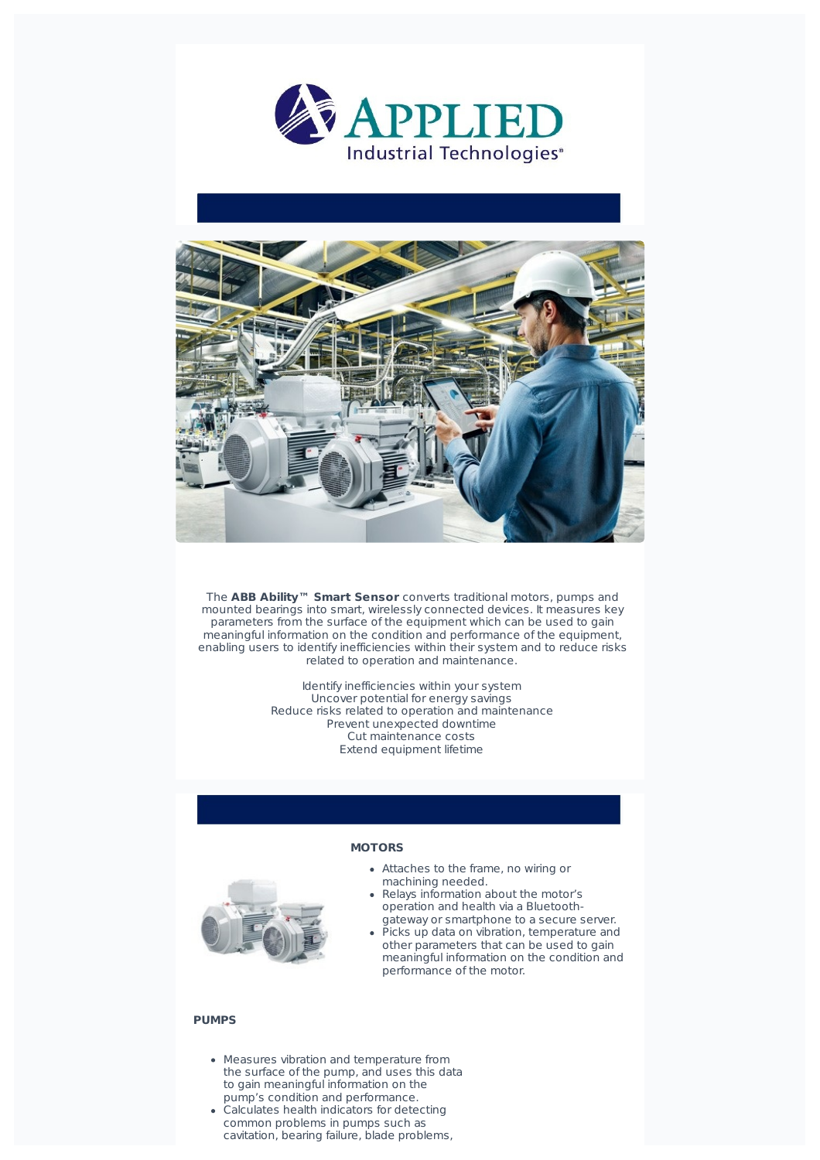



The **ABB Ability™ Smart Sensor** converts traditional motors, pumps and mounted bearings into smart, wirelessly connected devices. It measures key parameters from the surface of the equipment which can be used to gain meaningful information on the condition and performance of the equipment, enabling users to identify inefficiencies within their system and to reduce risks related to operation and maintenance.

> Identify inefficiencies within your system Uncover potential for energy savings Reduce risks related to operation and maintenance Prevent unexpected downtime Cut maintenance costs Extend equipment lifetime



## **MOTORS**

- Attaches to the frame, no wiring or machining needed.
- Relays information about the motor's operation and health via a Bluetoothgateway or smartphone to a secure server.
- $\overline{P}$ icks up data on vibration, temperature and other parameters that can be used to gain meaningful information on the condition and performance of the motor.

## **PUMPS**

- Measures vibration and temperature from the surface of the pump, and uses this data to gain meaningful information on the pump's condition and performance.
- Calculates health indicators for detecting common problems in pumps such as cavitation, bearing failure, blade problems,